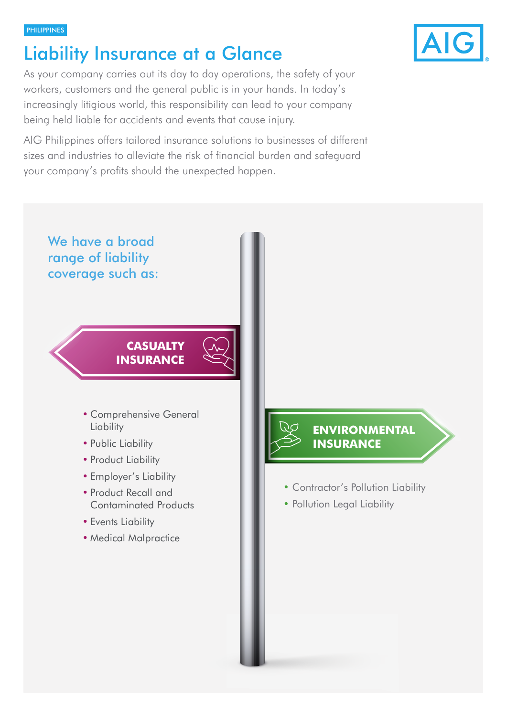#### **PHILIPPINES**

# Liability Insurance at a Glance

As your company carries out its day to day operations, the safety of your workers, customers and the general public is in your hands. In today's increasingly litigious world, this responsibility can lead to your company being held liable for accidents and events that cause injury.

AIG Philippines offers tailored insurance solutions to businesses of different sizes and industries to alleviate the risk of financial burden and safeguard your company's profits should the unexpected happen.